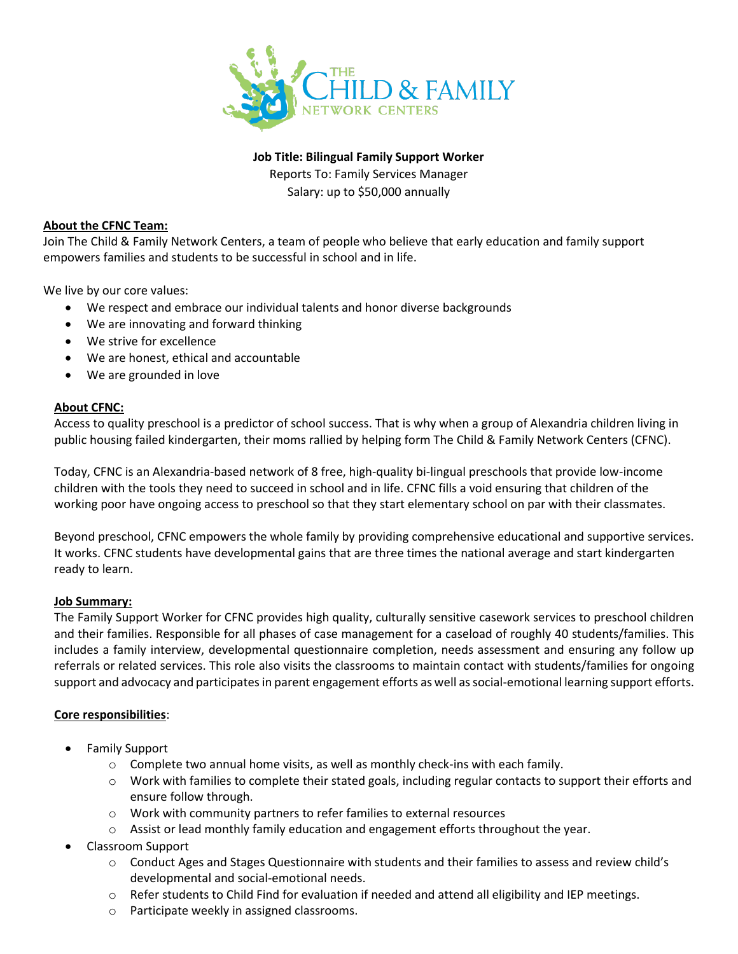

**Job Title: Bilingual Family Support Worker**

Reports To: Family Services Manager

Salary: up to \$50,000 annually

## **About the CFNC Team:**

Join The Child & Family Network Centers, a team of people who believe that early education and family support empowers families and students to be successful in school and in life.

We live by our core values:

- We respect and embrace our individual talents and honor diverse backgrounds
- We are innovating and forward thinking
- We strive for excellence
- We are honest, ethical and accountable
- We are grounded in love

### **About CFNC:**

Access to quality preschool is a predictor of school success. That is why when a group of Alexandria children living in public housing failed kindergarten, their moms rallied by helping form The Child & Family Network Centers (CFNC).

Today, CFNC is an Alexandria-based network of 8 free, high-quality bi-lingual preschools that provide low-income children with the tools they need to succeed in school and in life. CFNC fills a void ensuring that children of the working poor have ongoing access to preschool so that they start elementary school on par with their classmates.

Beyond preschool, CFNC empowers the whole family by providing comprehensive educational and supportive services. It works. CFNC students have developmental gains that are three times the national average and start kindergarten ready to learn.

### **Job Summary:**

The Family Support Worker for CFNC provides high quality, culturally sensitive casework services to preschool children and their families. Responsible for all phases of case management for a caseload of roughly 40 students/families. This includes a family interview, developmental questionnaire completion, needs assessment and ensuring any follow up referrals or related services. This role also visits the classrooms to maintain contact with students/families for ongoing support and advocacy and participates in parent engagement efforts as well as social-emotional learning support efforts.

# **Core responsibilities**:

- Family Support
	- $\circ$  Complete two annual home visits, as well as monthly check-ins with each family.
	- o Work with families to complete their stated goals, including regular contacts to support their efforts and ensure follow through.
	- o Work with community partners to refer families to external resources
	- $\circ$  Assist or lead monthly family education and engagement efforts throughout the year.
- Classroom Support
	- o Conduct Ages and Stages Questionnaire with students and their families to assess and review child's developmental and social-emotional needs.
	- o Refer students to Child Find for evaluation if needed and attend all eligibility and IEP meetings.
	- o Participate weekly in assigned classrooms.